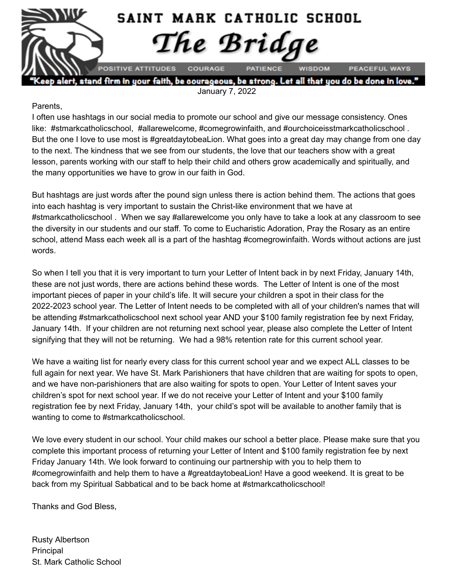

" alert, stand firm in your faith, be courageous, be strong. Let all that you do be done in love. January 7, 2022

#### Parents,

I often use hashtags in our social media to promote our school and give our message consistency. Ones like: #stmarkcatholicschool, #allarewelcome, #comegrowinfaith, and #ourchoiceisstmarkcatholicschool . But the one I love to use most is #greatdaytobeaLion. What goes into a great day may change from one day to the next. The kindness that we see from our students, the love that our teachers show with a great lesson, parents working with our staff to help their child and others grow academically and spiritually, and the many opportunities we have to grow in our faith in God.

But hashtags are just words after the pound sign unless there is action behind them. The actions that goes into each hashtag is very important to sustain the Christ-like environment that we have at #stmarkcatholicschool . When we say #allarewelcome you only have to take a look at any classroom to see the diversity in our students and our staff. To come to Eucharistic Adoration, Pray the Rosary as an entire school, attend Mass each week all is a part of the hashtag #comegrowinfaith. Words without actions are just words.

So when I tell you that it is very important to turn your Letter of Intent back in by next Friday, January 14th, these are not just words, there are actions behind these words. The Letter of Intent is one of the most important pieces of paper in your child's life. It will secure your children a spot in their class for the 2022-2023 school year. The Letter of Intent needs to be completed with all of your children's names that will be attending #stmarkcatholicschool next school year AND your \$100 family registration fee by next Friday, January 14th. If your children are not returning next school year, please also complete the Letter of Intent signifying that they will not be returning. We had a 98% retention rate for this current school year.

We have a waiting list for nearly every class for this current school year and we expect ALL classes to be full again for next year. We have St. Mark Parishioners that have children that are waiting for spots to open, and we have non-parishioners that are also waiting for spots to open. Your Letter of Intent saves your children's spot for next school year. If we do not receive your Letter of Intent and your \$100 family registration fee by next Friday, January 14th, your child's spot will be available to another family that is wanting to come to #stmarkcatholicschool.

We love every student in our school. Your child makes our school a better place. Please make sure that you complete this important process of returning your Letter of Intent and \$100 family registration fee by next Friday January 14th. We look forward to continuing our partnership with you to help them to #comegrowinfaith and help them to have a #greatdaytobeaLion! Have a good weekend. It is great to be back from my Spiritual Sabbatical and to be back home at #stmarkcatholicschool!

Thanks and God Bless,

Rusty Albertson Principal St. Mark Catholic School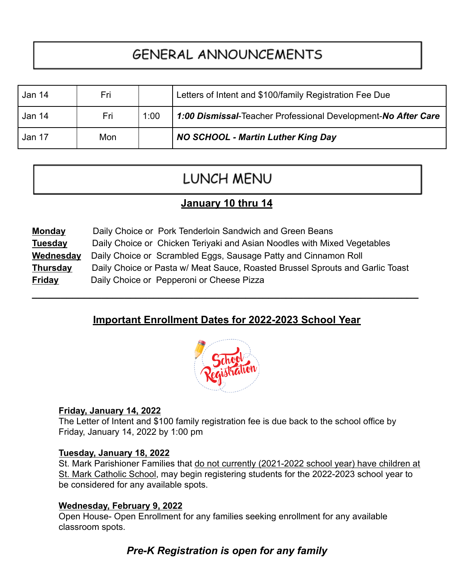# **GENERAL ANNOUNCEMENTS**

| Jan 14 | Fri |      | Letters of Intent and \$100/family Registration Fee Due       |
|--------|-----|------|---------------------------------------------------------------|
| Jan 14 | Fri | 1:00 | 1:00 Dismissal-Teacher Professional Development-No After Care |
| Jan 17 | Mon |      | <b>NO SCHOOL - Martin Luther King Day</b>                     |

## LUNCH MENU

### **January 10 thru 14**

| <b>Monday</b>   | Daily Choice or Pork Tenderloin Sandwich and Green Beans                      |
|-----------------|-------------------------------------------------------------------------------|
| <b>Tuesday</b>  | Daily Choice or Chicken Teriyaki and Asian Noodles with Mixed Vegetables      |
| Wednesday       | Daily Choice or Scrambled Eggs, Sausage Patty and Cinnamon Roll               |
| <b>Thursday</b> | Daily Choice or Pasta w/ Meat Sauce, Roasted Brussel Sprouts and Garlic Toast |
| <b>Friday</b>   | Daily Choice or Pepperoni or Cheese Pizza                                     |

#### **Important Enrollment Dates for 2022-2023 School Year**

**\_\_\_\_\_\_\_\_\_\_\_\_\_\_\_\_\_\_\_\_\_\_\_\_\_\_\_\_\_\_\_\_\_\_\_\_\_\_\_\_\_\_\_\_\_\_\_\_\_\_\_\_\_\_\_\_\_\_\_\_\_\_\_\_\_\_\_**



#### **Friday, January 14, 2022**

The Letter of Intent and \$100 family registration fee is due back to the school office by Friday, January 14, 2022 by 1:00 pm

#### **Tuesday, January 18, 2022**

St. Mark Parishioner Families that do not currently (2021-2022 school year) have children at St. Mark Catholic School, may begin registering students for the 2022-2023 school year to be considered for any available spots.

#### **Wednesday, February 9, 2022**

Open House- Open Enrollment for any families seeking enrollment for any available classroom spots.

### *Pre-K Registration is open for any family*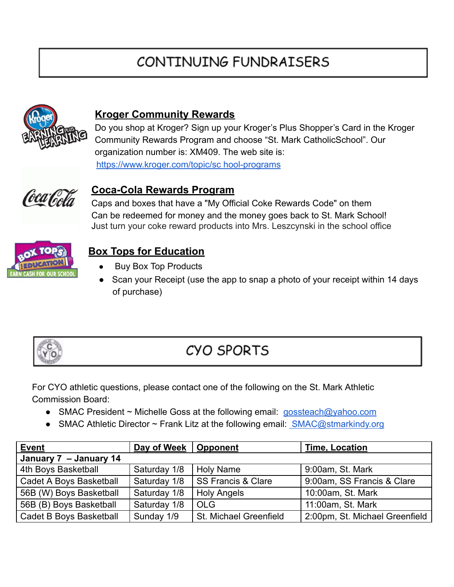# CONTINUING FUNDRAISERS



#### **Kroger Community Rewards**

Do you shop at Kroger? Sign up your Kroger's Plus Shopper's Card in the Kroger Community Rewards Program and choose "St. Mark CatholicSchool". Our organization number is: XM409. The web site is: [https://www.kroger.com/topic/sc hool-programs](https://www.kroger.com/topic/sc)



### **Coca-Cola Rewards Program**

Caps and boxes that have a "My Official Coke Rewards Code" on them Can be redeemed for money and the money goes back to St. Mark School! Just turn your coke reward products into Mrs. Leszcynski in the school office



## **Box Tops for Education**

- **Buy Box Top Products**
- Scan your Receipt (use the app to snap a photo of your receipt within 14 days of purchase)



## CYO SPORTS

For CYO athletic questions, please contact one of the following on the St. Mark Athletic Commission Board:

- SMAC President ~ Michelle Goss at the following email: [gossteach@yahoo.com](mailto:gossteach@yahoo.com)
- SMAC Athletic Director ~ Frank Litz at the following email: [SMAC@stmarkindy.org](mailto:SMAC@stmarkindy.org)

| <b>Event</b>            | Day of Week  | Opponent                      | <b>Time, Location</b>          |
|-------------------------|--------------|-------------------------------|--------------------------------|
| January 7 - January 14  |              |                               |                                |
| 4th Boys Basketball     | Saturday 1/8 | Holy Name                     | 9:00am, St. Mark               |
| Cadet A Boys Basketball | Saturday 1/8 | <b>SS Francis &amp; Clare</b> | 9:00am, SS Francis & Clare     |
| 56B (W) Boys Basketball | Saturday 1/8 | <b>Holy Angels</b>            | 10:00am, St. Mark              |
| 56B (B) Boys Basketball | Saturday 1/8 | <b>OLG</b>                    | 11:00am, St. Mark              |
| Cadet B Boys Basketball | Sunday 1/9   | St. Michael Greenfield        | 2:00pm, St. Michael Greenfield |